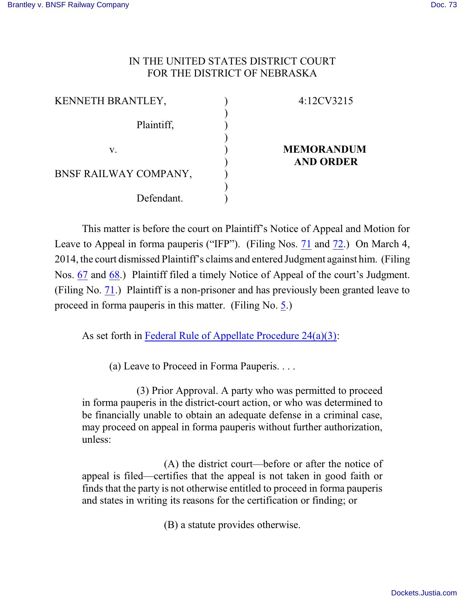## IN THE UNITED STATES DISTRICT COURT FOR THE DISTRICT OF NEBRASKA

| KENNETH BRANTLEY,     | 4:12CV3215        |
|-----------------------|-------------------|
| Plaintiff,            |                   |
| V.                    | <b>MEMORANDUM</b> |
| BNSF RAILWAY COMPANY, | <b>AND ORDER</b>  |
| Defendant.            |                   |

This matter is before the court on Plaintiff's Notice of Appeal and Motion for Leave to Appeal in forma pauperis ("IFP"). (Filing Nos. [71](https://ecf.ned.uscourts.gov/doc1/11312979938) and [72](https://ecf.ned.uscourts.gov/doc1/11312979941).) On March 4, 2014, the court dismissed Plaintiff's claims and entered Judgment against him. (Filing Nos. [67](https://ecf.ned.uscourts.gov/doc1/11312974881) and [68](https://ecf.ned.uscourts.gov/doc1/11312974921).) Plaintiff filed a timely Notice of Appeal of the court's Judgment. (Filing No. [71](https://ecf.ned.uscourts.gov/doc1/11312979938).) Plaintiff is a non-prisoner and has previously been granted leave to proceed in forma pauperis in this matter. (Filing No. [5](https://ecf.ned.uscourts.gov/doc1/11312629505).)

As set forth in [Federal Rule of Appellate Procedure 24\(a\)\(3\)](http://web2.westlaw.com/find/default.wl?fn=_top&rs=WLW8.07&rp=%2ffind%2fdefault.wl&mt=Westlaw&vr=2.0&sv=Split&cite=frap+24(a)(3)):

(a) Leave to Proceed in Forma Pauperis. . . .

(3) Prior Approval. A party who was permitted to proceed in forma pauperis in the district-court action, or who was determined to be financially unable to obtain an adequate defense in a criminal case, may proceed on appeal in forma pauperis without further authorization, unless:

(A) the district court—before or after the notice of appeal is filed—certifies that the appeal is not taken in good faith or finds that the party is not otherwise entitled to proceed in forma pauperis and states in writing its reasons for the certification or finding; or

(B) a statute provides otherwise.